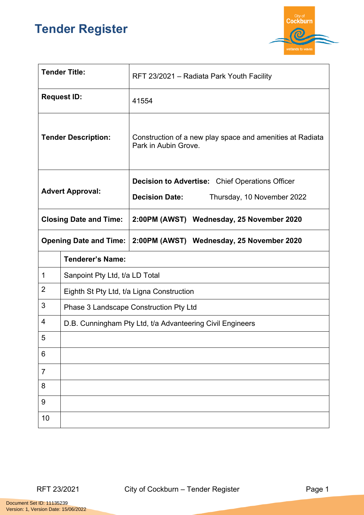## **Tender Register**



| <b>Tender Title:</b>          |                                                           | RFT 23/2021 - Radiata Park Youth Facility                                         |  |
|-------------------------------|-----------------------------------------------------------|-----------------------------------------------------------------------------------|--|
| <b>Request ID:</b>            |                                                           | 41554                                                                             |  |
| <b>Tender Description:</b>    |                                                           | Construction of a new play space and amenities at Radiata<br>Park in Aubin Grove. |  |
| <b>Advert Approval:</b>       |                                                           | <b>Decision to Advertise:</b> Chief Operations Officer                            |  |
|                               |                                                           | <b>Decision Date:</b><br>Thursday, 10 November 2022                               |  |
| <b>Closing Date and Time:</b> |                                                           | 2:00PM (AWST) Wednesday, 25 November 2020                                         |  |
| <b>Opening Date and Time:</b> |                                                           | 2:00PM (AWST) Wednesday, 25 November 2020                                         |  |
|                               | <b>Tenderer's Name:</b>                                   |                                                                                   |  |
| $\mathbf 1$                   | Sanpoint Pty Ltd, t/a LD Total                            |                                                                                   |  |
| $\overline{2}$                | Eighth St Pty Ltd, t/a Ligna Construction                 |                                                                                   |  |
| 3                             | Phase 3 Landscape Construction Pty Ltd                    |                                                                                   |  |
| 4                             | D.B. Cunningham Pty Ltd, t/a Advanteering Civil Engineers |                                                                                   |  |
| 5                             |                                                           |                                                                                   |  |
| 6                             |                                                           |                                                                                   |  |
| $\overline{7}$                |                                                           |                                                                                   |  |
| 8                             |                                                           |                                                                                   |  |
| 9                             |                                                           |                                                                                   |  |
| 10                            |                                                           |                                                                                   |  |